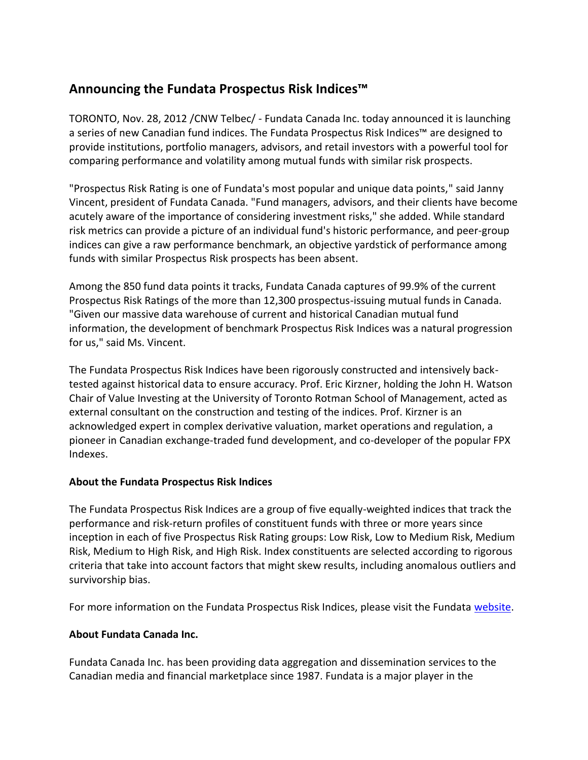## **Announcing the Fundata Prospectus Risk Indices™**

TORONTO, Nov. 28, 2012 /CNW Telbec/ - Fundata Canada Inc. today announced it is launching a series of new Canadian fund indices. The Fundata Prospectus Risk Indices™ are designed to provide institutions, portfolio managers, advisors, and retail investors with a powerful tool for comparing performance and volatility among mutual funds with similar risk prospects.

"Prospectus Risk Rating is one of Fundata's most popular and unique data points," said Janny Vincent, president of Fundata Canada. "Fund managers, advisors, and their clients have become acutely aware of the importance of considering investment risks," she added. While standard risk metrics can provide a picture of an individual fund's historic performance, and peer-group indices can give a raw performance benchmark, an objective yardstick of performance among funds with similar Prospectus Risk prospects has been absent.

Among the 850 fund data points it tracks, Fundata Canada captures of 99.9% of the current Prospectus Risk Ratings of the more than 12,300 prospectus-issuing mutual funds in Canada. "Given our massive data warehouse of current and historical Canadian mutual fund information, the development of benchmark Prospectus Risk Indices was a natural progression for us," said Ms. Vincent.

The Fundata Prospectus Risk Indices have been rigorously constructed and intensively backtested against historical data to ensure accuracy. Prof. Eric Kirzner, holding the John H. Watson Chair of Value Investing at the University of Toronto Rotman School of Management, acted as external consultant on the construction and testing of the indices. Prof. Kirzner is an acknowledged expert in complex derivative valuation, market operations and regulation, a pioneer in Canadian exchange-traded fund development, and co-developer of the popular FPX Indexes.

## **About the Fundata Prospectus Risk Indices**

The Fundata Prospectus Risk Indices are a group of five equally-weighted indices that track the performance and risk-return profiles of constituent funds with three or more years since inception in each of five Prospectus Risk Rating groups: Low Risk, Low to Medium Risk, Medium Risk, Medium to High Risk, and High Risk. Index constituents are selected according to rigorous criteria that take into account factors that might skew results, including anomalous outliers and survivorship bias.

For more information on the Fundata Prospectus Risk Indices, please visit the Fundata [website.](http://www.fundata.com/fundindices)

## **About Fundata Canada Inc.**

Fundata Canada Inc. has been providing data aggregation and dissemination services to the Canadian media and financial marketplace since 1987. Fundata is a major player in the